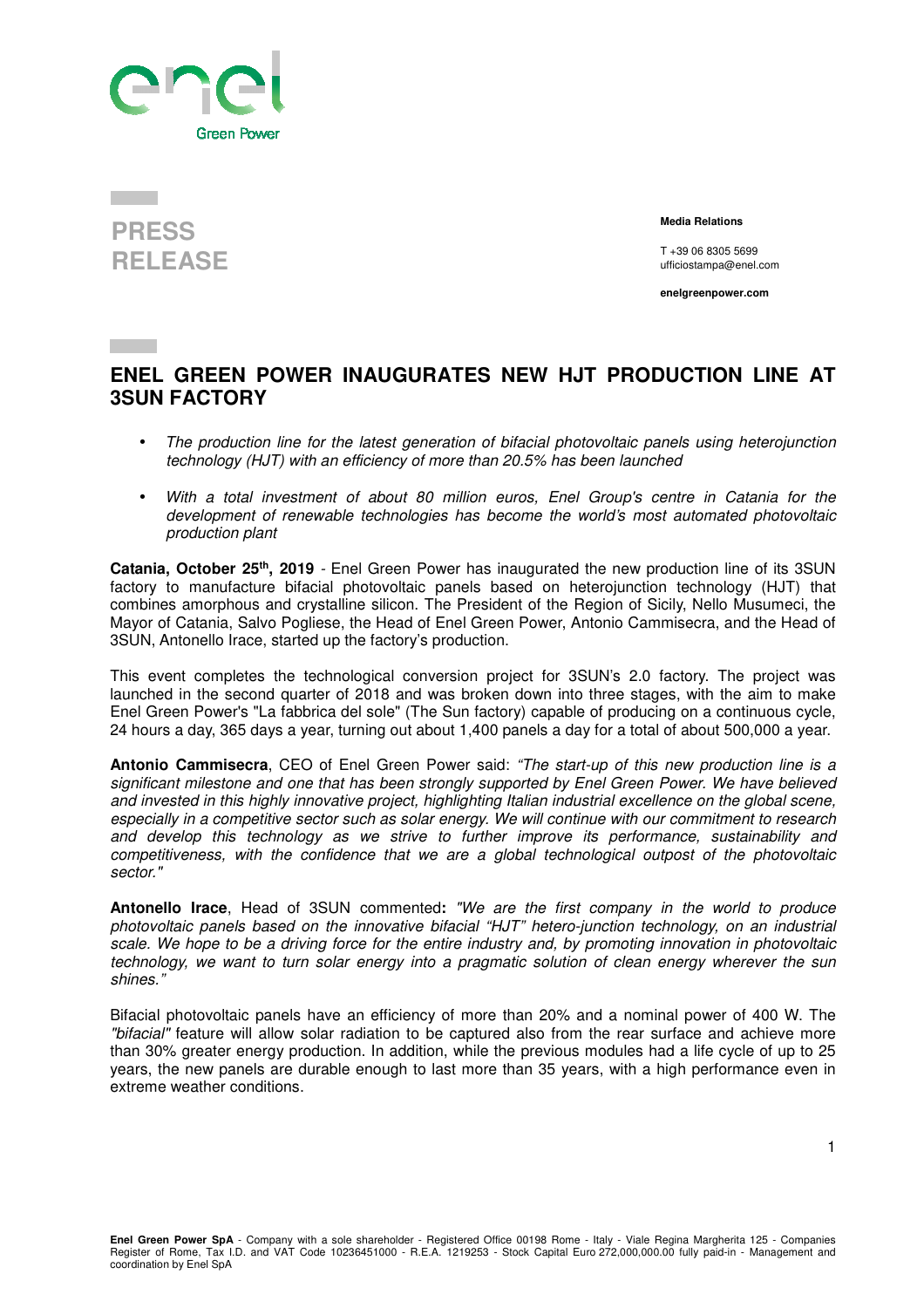



 **Media Relations** 

T +39 06 8305 5699 ufficiostampa@enel.com

**enelgreenpower.com**

## **ENEL GREEN POWER INAUGURATES NEW HJT PRODUCTION LINE AT 3SUN FACTORY**

- The production line for the latest generation of bifacial photovoltaic panels using heterojunction technology (HJT) with an efficiency of more than 20.5% has been launched
- With a total investment of about 80 million euros, Enel Group's centre in Catania for the development of renewable technologies has become the world's most automated photovoltaic production plant

**Catania, October 25th, 2019** - Enel Green Power has inaugurated the new production line of its 3SUN factory to manufacture bifacial photovoltaic panels based on heterojunction technology (HJT) that combines amorphous and crystalline silicon. The President of the Region of Sicily, Nello Musumeci, the Mayor of Catania, Salvo Pogliese, the Head of Enel Green Power, Antonio Cammisecra, and the Head of 3SUN, Antonello Irace, started up the factory's production.

This event completes the technological conversion project for 3SUN's 2.0 factory. The project was launched in the second quarter of 2018 and was broken down into three stages, with the aim to make Enel Green Power's "La fabbrica del sole" (The Sun factory) capable of producing on a continuous cycle, 24 hours a day, 365 days a year, turning out about 1,400 panels a day for a total of about 500,000 a year.

**Antonio Cammisecra**, CEO of Enel Green Power said: "The start-up of this new production line is a significant milestone and one that has been strongly supported by Enel Green Power. We have believed and invested in this highly innovative project, highlighting Italian industrial excellence on the global scene, especially in a competitive sector such as solar energy. We will continue with our commitment to research and develop this technology as we strive to further improve its performance, sustainability and competitiveness, with the confidence that we are a global technological outpost of the photovoltaic sector."

**Antonello Irace**, Head of 3SUN commented**:** "We are the first company in the world to produce photovoltaic panels based on the innovative bifacial "HJT" hetero-junction technology, on an industrial scale. We hope to be a driving force for the entire industry and, by promoting innovation in photovoltaic technology, we want to turn solar energy into a pragmatic solution of clean energy wherever the sun shines."

Bifacial photovoltaic panels have an efficiency of more than 20% and a nominal power of 400 W. The "bifacial" feature will allow solar radiation to be captured also from the rear surface and achieve more than 30% greater energy production. In addition, while the previous modules had a life cycle of up to 25 years, the new panels are durable enough to last more than 35 years, with a high performance even in extreme weather conditions.